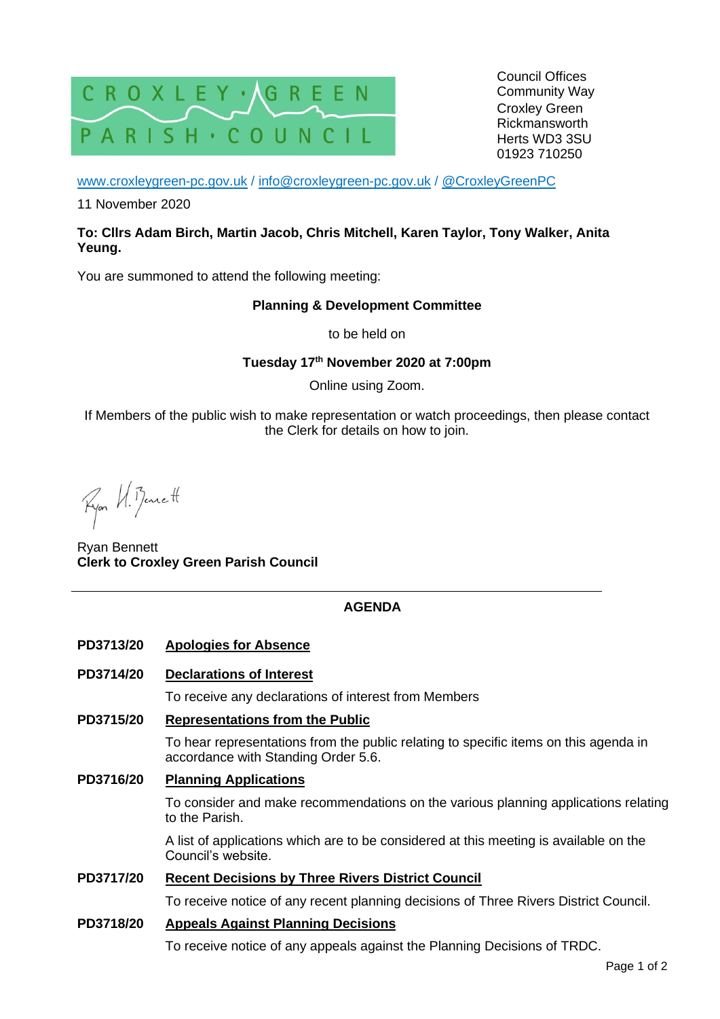

Council Offices Community Way Croxley Green Rickmansworth Herts WD3 3SU 01923 710250

[www.croxleygreen-pc.gov.uk](http://www.croxleygreen-pc.gov.uk/) / [info@croxleygreen-pc.gov.uk](mailto:info@croxleygreen-pc.gov.uk) / [@CroxleyGreenPC](https://twitter.com/CroxleyGreenPC)

11 November 2020

#### **To: Cllrs Adam Birch, Martin Jacob, Chris Mitchell, Karen Taylor, Tony Walker, Anita Yeung.**

You are summoned to attend the following meeting:

**Planning & Development Committee** 

to be held on

**Tuesday 17 th November 2020 at 7:00pm**

Online using Zoom.

If Members of the public wish to make representation or watch proceedings, then please contact the Clerk for details on how to join.

Ryon VI. Bennett

Ryan Bennett **Clerk to Croxley Green Parish Council**

## **AGENDA**

- **PD3713/20 Apologies for Absence**
- **PD3714/20 Declarations of Interest**

To receive any declarations of interest from Members

**PD3715/20 Representations from the Public**

To hear representations from the public relating to specific items on this agenda in accordance with Standing Order 5.6.

**PD3716/20 Planning Applications**

To consider and make recommendations on the various planning applications relating to the Parish.

A list of applications which are to be considered at this meeting is available on the Council's website.

#### **PD3717/20 Recent Decisions by Three Rivers District Council**

To receive notice of any recent planning decisions of Three Rivers District Council.

#### **PD3718/20 Appeals Against Planning Decisions**

To receive notice of any appeals against the Planning Decisions of TRDC.